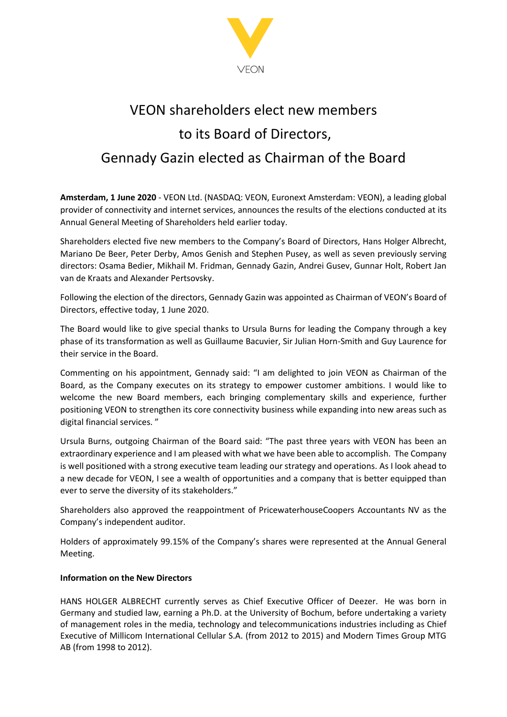

# VEON shareholders elect new members to its Board of Directors, Gennady Gazin elected as Chairman of the Board

**Amsterdam, 1 June 2020** - VEON Ltd. (NASDAQ: VEON, Euronext Amsterdam: VEON), a leading global provider of connectivity and internet services, announces the results of the elections conducted at its Annual General Meeting of Shareholders held earlier today.

Shareholders elected five new members to the Company's Board of Directors, Hans Holger Albrecht, Mariano De Beer, Peter Derby, Amos Genish and Stephen Pusey, as well as seven previously serving directors: Osama Bedier, Mikhail M. Fridman, Gennady Gazin, Andrei Gusev, Gunnar Holt, Robert Jan van de Kraats and Alexander Pertsovsky.

Following the election of the directors, Gennady Gazin was appointed as Chairman of VEON's Board of Directors, effective today, 1 June 2020.

The Board would like to give special thanks to Ursula Burns for leading the Company through a key phase of its transformation as well as Guillaume Bacuvier, Sir Julian Horn-Smith and Guy Laurence for their service in the Board.

Commenting on his appointment, Gennady said: "I am delighted to join VEON as Chairman of the Board, as the Company executes on its strategy to empower customer ambitions. I would like to welcome the new Board members, each bringing complementary skills and experience, further positioning VEON to strengthen its core connectivity business while expanding into new areas such as digital financial services. "

Ursula Burns, outgoing Chairman of the Board said: "The past three years with VEON has been an extraordinary experience and I am pleased with what we have been able to accomplish. The Company is well positioned with a strong executive team leading our strategy and operations. As I look ahead to a new decade for VEON, I see a wealth of opportunities and a company that is better equipped than ever to serve the diversity of its stakeholders."

Shareholders also approved the reappointment of PricewaterhouseCoopers Accountants NV as the Company's independent auditor.

Holders of approximately 99.15% of the Company's shares were represented at the Annual General Meeting.

### **Information on the New Directors**

HANS HOLGER ALBRECHT currently serves as Chief Executive Officer of Deezer. He was born in Germany and studied law, earning a Ph.D. at the University of Bochum, before undertaking a variety of management roles in the media, technology and telecommunications industries including as Chief Executive of Millicom International Cellular S.A. (from 2012 to 2015) and Modern Times Group MTG AB (from 1998 to 2012).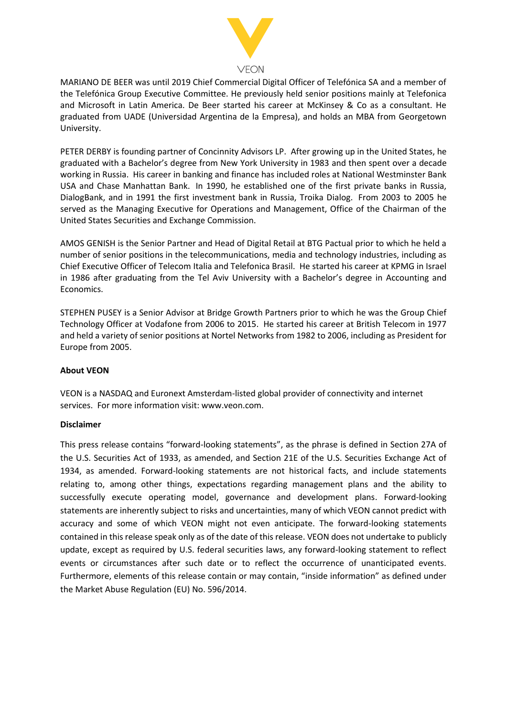

MARIANO DE BEER was until 2019 Chief Commercial Digital Officer of Telefónica SA and a member of the Telefónica Group Executive Committee. He previously held senior positions mainly at Telefonica and Microsoft in Latin America. De Beer started his career at McKinsey & Co as a consultant. He graduated from UADE (Universidad Argentina de la Empresa), and holds an MBA from Georgetown University.

PETER DERBY is founding partner of Concinnity Advisors LP. After growing up in the United States, he graduated with a Bachelor's degree from New York University in 1983 and then spent over a decade working in Russia. His career in banking and finance has included roles at National Westminster Bank USA and Chase Manhattan Bank. In 1990, he established one of the first private banks in Russia, DialogBank, and in 1991 the first investment bank in Russia, Troika Dialog. From 2003 to 2005 he served as the Managing Executive for Operations and Management, Office of the Chairman of the United States Securities and Exchange Commission.

AMOS GENISH is the Senior Partner and Head of Digital Retail at BTG Pactual prior to which he held a number of senior positions in the telecommunications, media and technology industries, including as Chief Executive Officer of Telecom Italia and Telefonica Brasil. He started his career at KPMG in Israel in 1986 after graduating from the Tel Aviv University with a Bachelor's degree in Accounting and Economics.

STEPHEN PUSEY is a Senior Advisor at Bridge Growth Partners prior to which he was the Group Chief Technology Officer at Vodafone from 2006 to 2015. He started his career at British Telecom in 1977 and held a variety of senior positions at Nortel Networks from 1982 to 2006, including as President for Europe from 2005.

#### **About VEON**

VEON is a NASDAQ and Euronext Amsterdam-listed global provider of connectivity and internet services. For more information visit: www.veon.com.

#### **Disclaimer**

This press release contains "forward-looking statements", as the phrase is defined in Section 27A of the U.S. Securities Act of 1933, as amended, and Section 21E of the U.S. Securities Exchange Act of 1934, as amended. Forward-looking statements are not historical facts, and include statements relating to, among other things, expectations regarding management plans and the ability to successfully execute operating model, governance and development plans. Forward-looking statements are inherently subject to risks and uncertainties, many of which VEON cannot predict with accuracy and some of which VEON might not even anticipate. The forward-looking statements contained in this release speak only as of the date of this release. VEON does not undertake to publicly update, except as required by U.S. federal securities laws, any forward-looking statement to reflect events or circumstances after such date or to reflect the occurrence of unanticipated events. Furthermore, elements of this release contain or may contain, "inside information" as defined under the Market Abuse Regulation (EU) No. 596/2014.